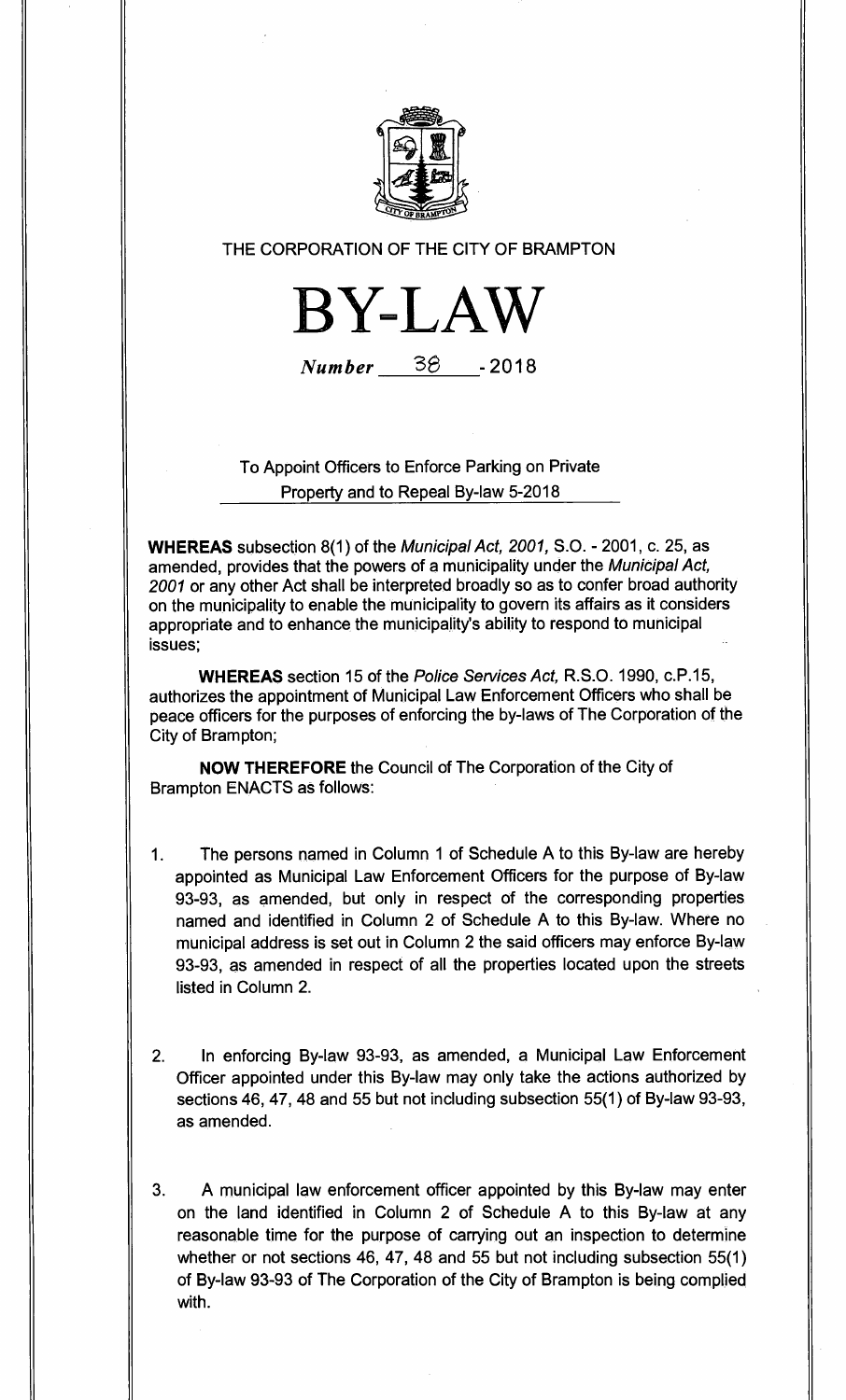

# THE CORPORATION OF THE CITY OF BRAMPTON



Number 3S \_ **2018** 

To Appoint Officers to Enforce Parking on Private Property and to Repeal By-law 5-2018

**WHEREAS** subsection 8(1) of the Municipal Act, 2001, S.O. - 2001, c. 25, as amended, provides that the powers of a municipality under the Municipal Act, 2001 or any other Act shall be interpreted broadly so as to confer broad authority on the municipality to enable the municipality to govern its affairs as it considers appropriate and to enhance the municipality's ability to respond to municipal issues;

**WHEREAS** section 15 of the Police Services Act, R.S.O. 1990, c.P.15, authorizes the appointment of Municipal Law Enforcement Officers who shall be peace officers for the purposes of enforcing the by-laws of The Corporation of the City of Brampton;

**NOW THEREFORE** the Council of The Corporation of the City of Brampton ENACTS as follows:

- 1. The persons named in Column 1 of Schedule A to this By-law are hereby appointed as Municipal Law Enforcement Officers for the purpose of By-law 93-93, as amended, but only in respect of the corresponding properties named and identified in Column 2 of Schedule A to this By-law. Where no municipal address is set out in Column 2 the said officers may enforce By-law 93-93, as amended in respect of all the properties located upon the streets listed in Column 2.
- 2. In enforcing By-law 93-93, as amended, a Municipal Law Enforcement Officer appointed under this By-law may only take the actions authorized by sections 46, 47, 48 and 55 but not including subsection 55(1) of By-law 93-93, as amended.
- 3. A municipal law enforcement officer appointed by this By-law may enter on the land identified in Column 2 of Schedule A to this By-law at any reasonable time for the purpose of carrying out an inspection to determine whether or not sections 46, 47, 48 and 55 but not including subsection 55(1) of By-law 93-93 of The Corporation of the City of Brampton is being complied with.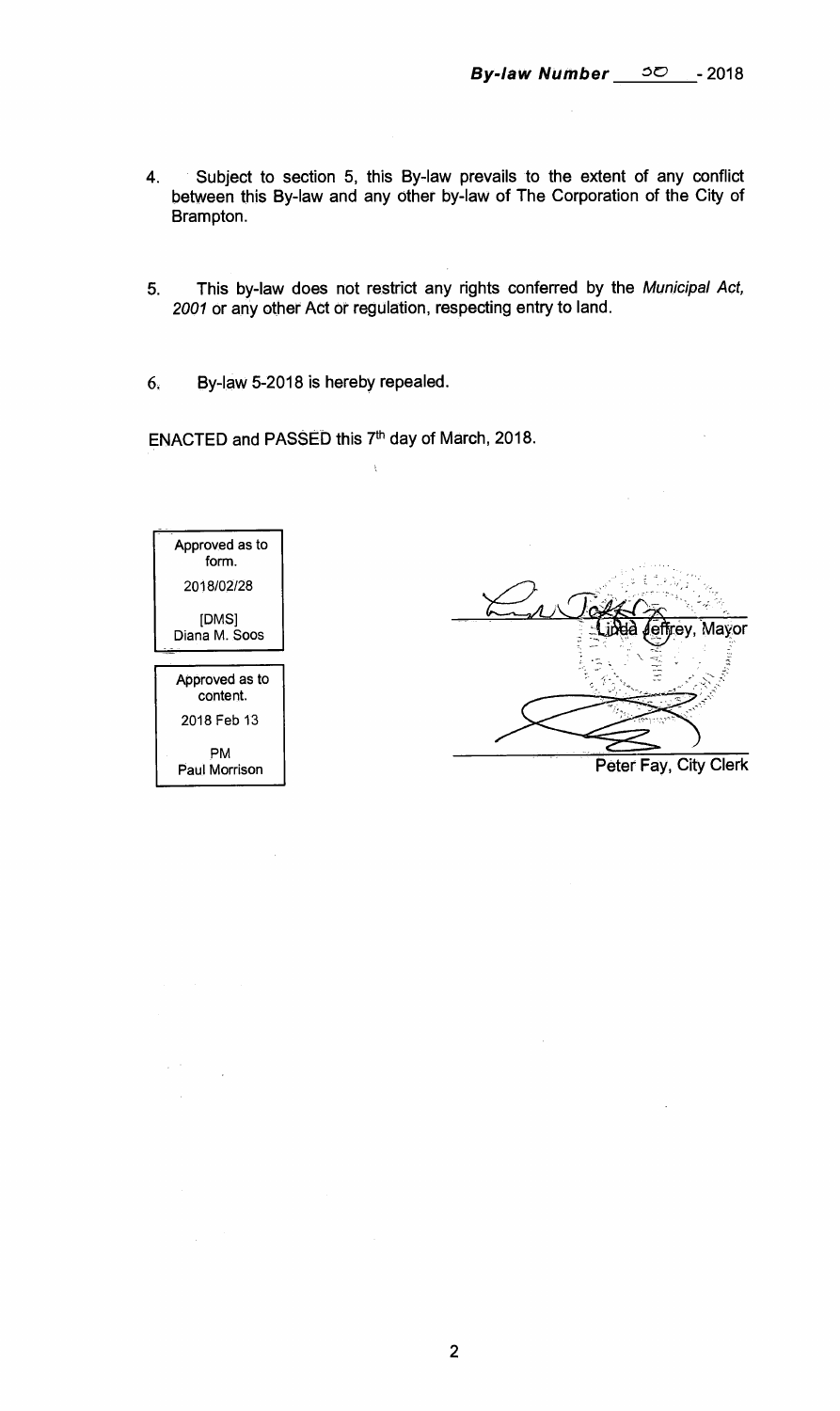- **4. Subject to section 5, this By-law prevails to the extent of any conflict between this By-law and any other by-law of The Corporation of the City of Brampton.**
- **5. This by-law does not restrict any rights conferred by the** Municipal Act, 2001 **or any other Act or regulation, respecting entry to land.**
- **6. By-law 5-2018 is hereby repealed.**

ENACTED and PASSED this 7<sup>th</sup> day of March, 2018.



**ey, Mayor Peter Fay, City Clerk** 

**2**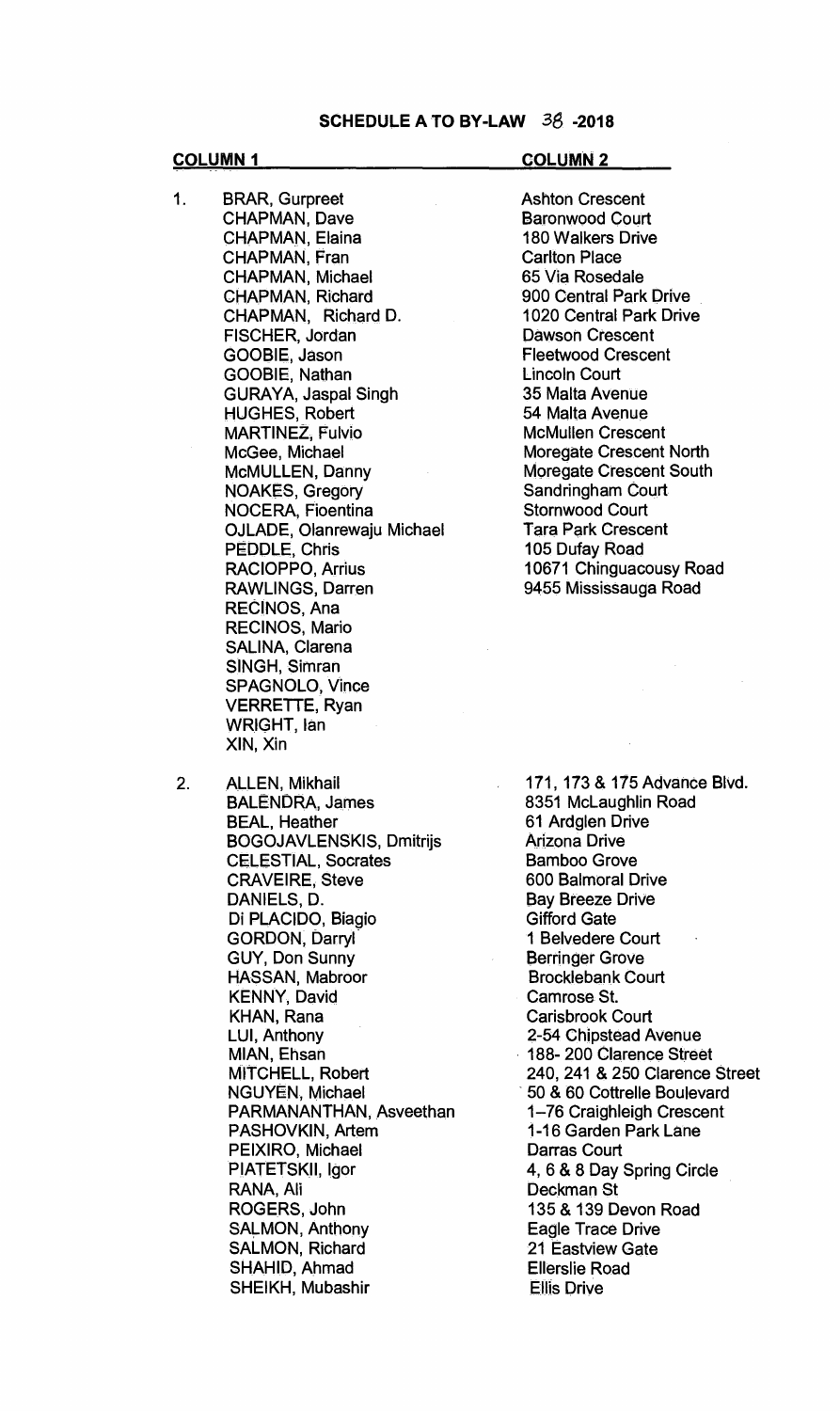#### **COLUMN 1 COLUMN 2**

- 1. BRAR, Gurpreet CHAPMAN, Dave CHAPMAN, Elaina CHAPMAN, Fran CHAPMAN, Michael CHAPMAN, Richard CHAPMAN, Richard D. FISCHER, Jordan GOOBIE, Jason GOOBIE, Nathan GURAYA, Jaspal Singh HUGHES, Robert MARTINEZ, Fulvio McGee, Michael McMULLEN, Danny NOAKES, Gregory NOCERA, Fioentina OJLADE, Olanrewaju Michael PEDDLE, Chris RACIOPPO, Arrius RAWLINGS, Darren RECINOS, Ana RECINOS, Mario SALINA, Clarena SINGH, Simran SPAGNOLO, Vince VERRETTE, Ryan WRIGHT, Ian XIN, Xin
- 2. ALLEN, Mikhail BALENDRA, James BEAL, Heather BOGOJAVLENSKIS, Dmitrijs CELESTIAL, Socrates CRAVEIRE, Steve DANIELS, D. Di PLACIDO, Biagio GORDON, Darryl GUY, Don Sunny HASSAN, Mabroor KENNY, David KHAN, Rana LUI, Anthony MIAN, Ehsan MITCHELL, Robert NGUYEN, Michael PARMANANTHAN, Asveethan PASHOVKIN, Artem PEIXIRO, Michael PIATETSKII, Igor RANA, Ali ROGERS, John SALMON, Anthony SALMON, Richard SHAHID, Ahmad SHEIKH, Mubashir

Ashton Crescent Baronwood Court 180 Walkers Drive Carlton Place 65 Via Rosedale 900 Central Park Drive 1020 Central Park Drive Dawson Crescent Fleetwood Crescent Lincoln Court 35 Malta Avenue 54 Malta Avenue McMullen Crescent Moregate Crescent North Moregate Crescent South Sandringham Court Stornwood Court Tara Park Crescent 105 Dufay Road 10671 Chinguacousy Road 9455 Mississauga Road

171, 173 & 175 Advance Blvd. 8351 McLaughlin Road 61 Ardglen Drive Arizona Drive Bamboo Grove 600 Balmoral Drive Bay Breeze Drive Gifford Gate 1 Belvedere Court Berringer Grove Brocklebank Court Camrose St. Carisbrook Court 2-54 Chipstead Avenue 188- 200 Clarence Street 240, 241 & 250 Clarence Street 50 & 60 Cottrelle Boulevard 1-76 Craighleigh Crescent 1-16 Garden Park Lane Darras Court 4, 6 & 8 Day Spring Circle Deckman St 135 & 139 Devon Road Eagle Trace Drive 21 Eastview Gate Ellerslie Road Ellis Drive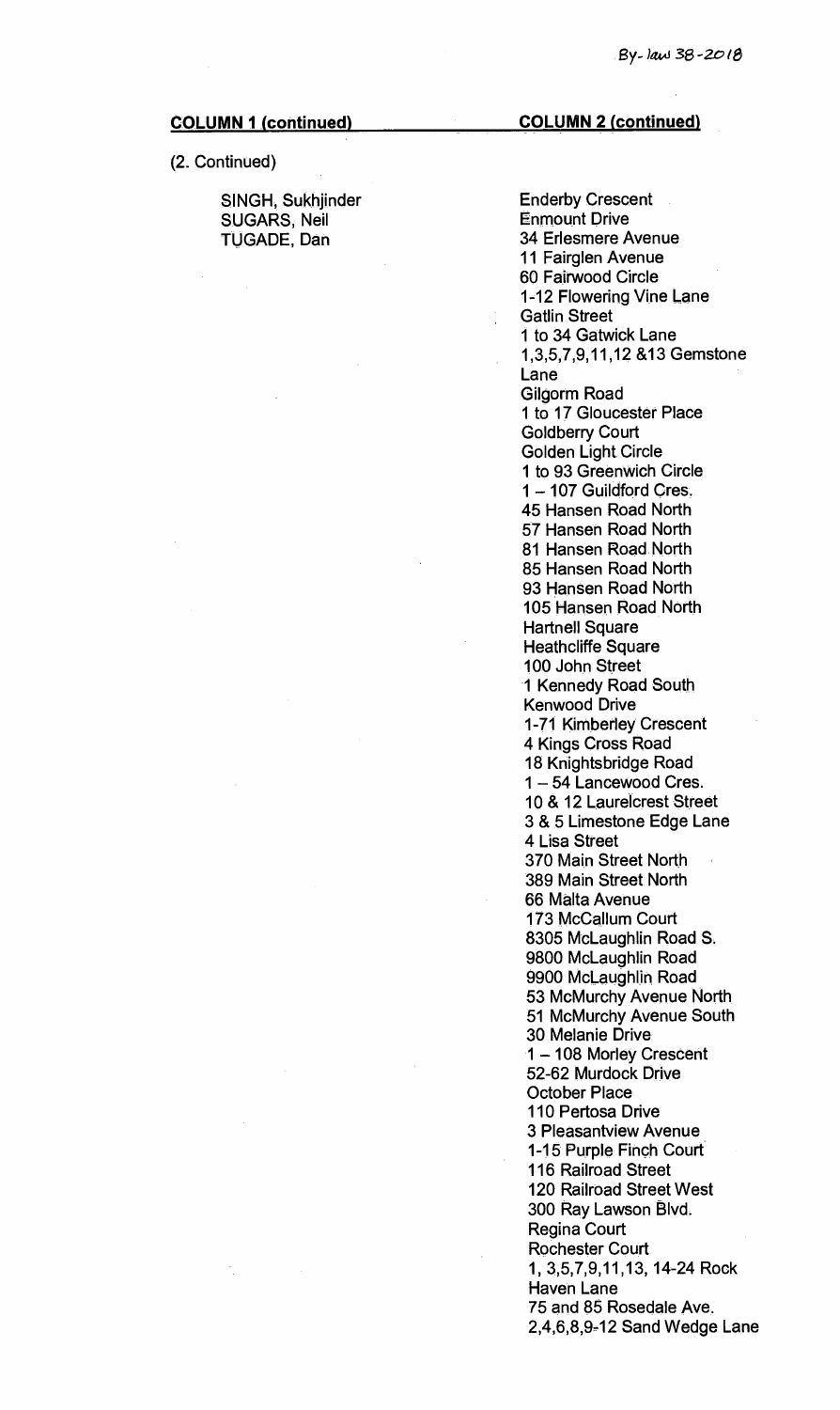#### (2. Continued)

SINGH, Sukhjinder SUGARS, Neil TUGADE, Dan

#### **COLUMN 1 (continued) COLUMN 2 (continued)**

Enderby Crescent Enmount Drive 34 Erlesmere Avenue 11 Fairglen Avenue 60 Fairwood Circle 1-12 Flowering Vine Lane Gatlin Street 1 to 34 Gatwick Lane 1,3,5,7,9,11,12 &13 Gemstone. Lane Gilgorm Road 1 to 17 Gloucester Place Goldberry Court Golden Light. Circle 1 to 93 Greenwich Circle 1 — 107 Guildford Cres. 45 Hansen Road North 57 Hansen Road North 81 Hansen Road. North 85 Hansen Road North 93 Hansen Road North 105 Hansen Road North Hartnell Square Heathcliffe Square 100 John Street 1 Kennedy Road South Kenwood Drive 1-71 Kimberley Crescent 4 Kings Cross Road 18 Knightsbridge Road 1 — 54 Lancewood Cres. 10 & 12 Laurelcrest Street 3 & 5 Limestone Edge Lane 4 Lisa Street 370 Main Street North 389 Main Street North 66 Malta Avenue 173 McCallum Court 8305 McLaughlin Road S. 9800 McLaughlin Road 9900 McLaughlin Road 53 McMurchy Avenue North 51 McMurchy Avenue South 30 Melanie Drive 1 — 108 Morley Crescent 52-62 Murdock Drive October Place 110 Pertosa Drive 3 Pleasantview Avenue 1-15 Purple Finch Court 116 Railroad Street 120 Railroad Street West 300 Ray Lawson Blvd. Regina Court Rochester Court 1, 3,5,7,9,11,13, 14-24 Rock Haven Lane 75 and 85 Rosedale Ave. 2,4,6,8,9-12 Sand Wedge Lane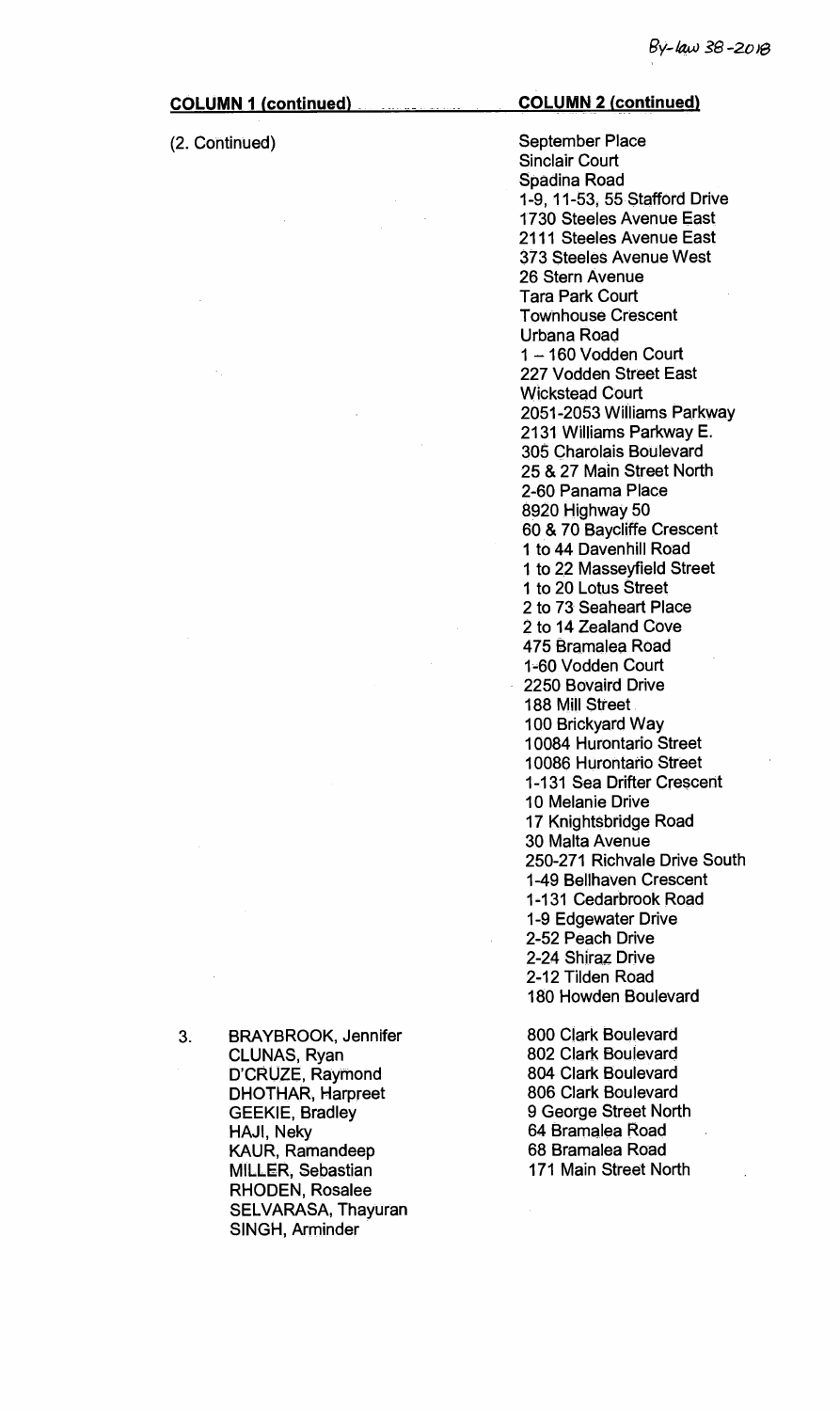(2. Continued)

# **COLUMN 1 (continued) COLUMN 2 (continued)**

September Place Sinclair Court Spadina Road 1-9, 11-53, 55 Stafford Drive 1730 Steeles Avenue East 2111 Steeles Avenue East 373 Steeles Avenue West 26 Stern Avenue Tara Park Court Townhouse Crescent Urbana Road 1 —160 Vodden Court 227 Vodden Street East Wickstead Court 2051-2053 Williams Parkway 2131 Williams Parkway E. 305 Charolais Boulevard 25 & 27 Main Street North 2-60 Panama Place 8920 Highway 50 60 & 70 Baycliffe Crescent 1 to 44 Davenhill Road 1 to 22 Masseyfield Street 1 to 20 Lotus Street 2 to 73 Seaheart Place 2 to 14 Zealand Cove 475 Bramalea Road 1-60 Vodden Court 2250 Bovaird Drive 188 Mill Street 100 Brickyard Way 10084 Hurontario Street 10086 Hurontario Street 1-131 Sea Drifter Crescent 10 Melanie Drive 17 Knightsbridge Road 30 Malta Avenue 250-271 Richvale Drive South 1-49 Bellhaven Crescent 1-131 Cedarbrook Road 1-9 Edgewater Drive 2-52 Peach Drive 2-24 Shiraz Drive 2-12 Tilden Road 180 Howden Boulevard

800 Clark Boulevard 802 Clark Boulevard 804 Clark Boulevard 806 Clark Boulevard 9 George Street North 64 Bramalea Road 68 Bramalea Road 171 Main Street North

3. BRAYBROOK, Jennifer CLUNAS, Ryan D'CRUZE, Raymond DHOTHAR, Harpreet GEEKIE, Bradley HAJI, Neky KAUR, Ramandeep MILLER, Sebastian RHODEN, Rosalee SELVARASA, Thayuran SINGH, Arminder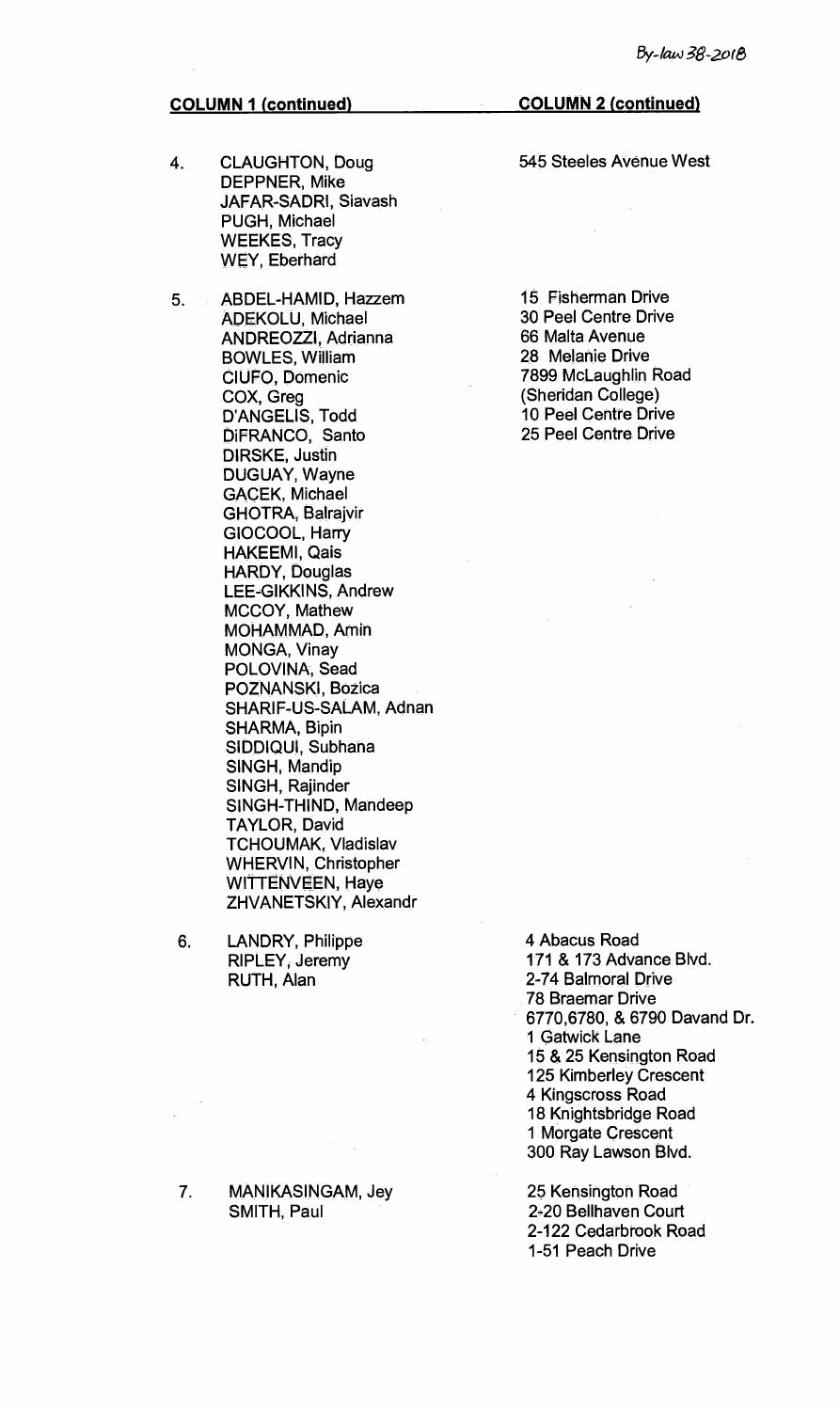- 4. CLAUGHTON, Doug DEPPNER, Mike JAFAR-SADRI, Siavash PUGH, Michael WEEKES, Tracy WEY, Eberhard
- 5. ABDEL-HAMID, Hazzem ADEKOLU, Michael ANDREOZZI, Adrianna BOWLES, William CIUFO, Domenic COX, Greg D'ANGELIS, Todd DiFRANCO, Santo DIRSKE, Justin DUGUAY, Wayne GACEK, Michael GHOTRA, Balrajvir GIOCOOL, Harry HAKEEMI, Qais HARDY, Douglas LEE-GIKKINS, Andrew MCCOY, Mathew MOHAMMAD, Amin MONGA, Vinay POLOVINA, Sead POZNANSKI, Bozica SHARIF-US-SALAM, Adnan SHARMA, Bipin SIDDIQUI, Subhana SINGH, Mandip SINGH, Rajinder SINGH-THIND, Mandeep TAYLOR, David TCHOUMAK, Vladislav WHERVIN, Christopher WITTENVEEN, Haye ZHVANETSKIY, Alexandr
- 6. LANDRY, Philippe RIPLEY, Jeremy RUTH, Alan

7. MANIKASINGAM, Jey SMITH, Paul

**COLUMN 2 (continued)** 

545 Steeles Avenue West

 $\alpha$ 

15 Fisherman Drive 30 Peel Centre Drive 66 Malta Avenue 28 Melanie Drive 7899 McLaughlin Road (Sheridan College) 10 Peel Centre Drive 25 Peel Centre Drive

4 Abacus Road 171 & 173 Advance Blvd. 2-74 Balmoral Drive 78 Braemar Drive 6770,6780, & 6790 Davand Dr. 1 Gatwick Lane 15 & 25 Kensington Road 125 Kimberley Crescent 4 Kingscross Road 18 Knightsbridge Road 1 Morgate Crescent 300 Ray Lawson Blvd.

25 Kensington Road 2-20 Bellhaven Court 2-122 Cedarbrook Road 1-51 Peach Drive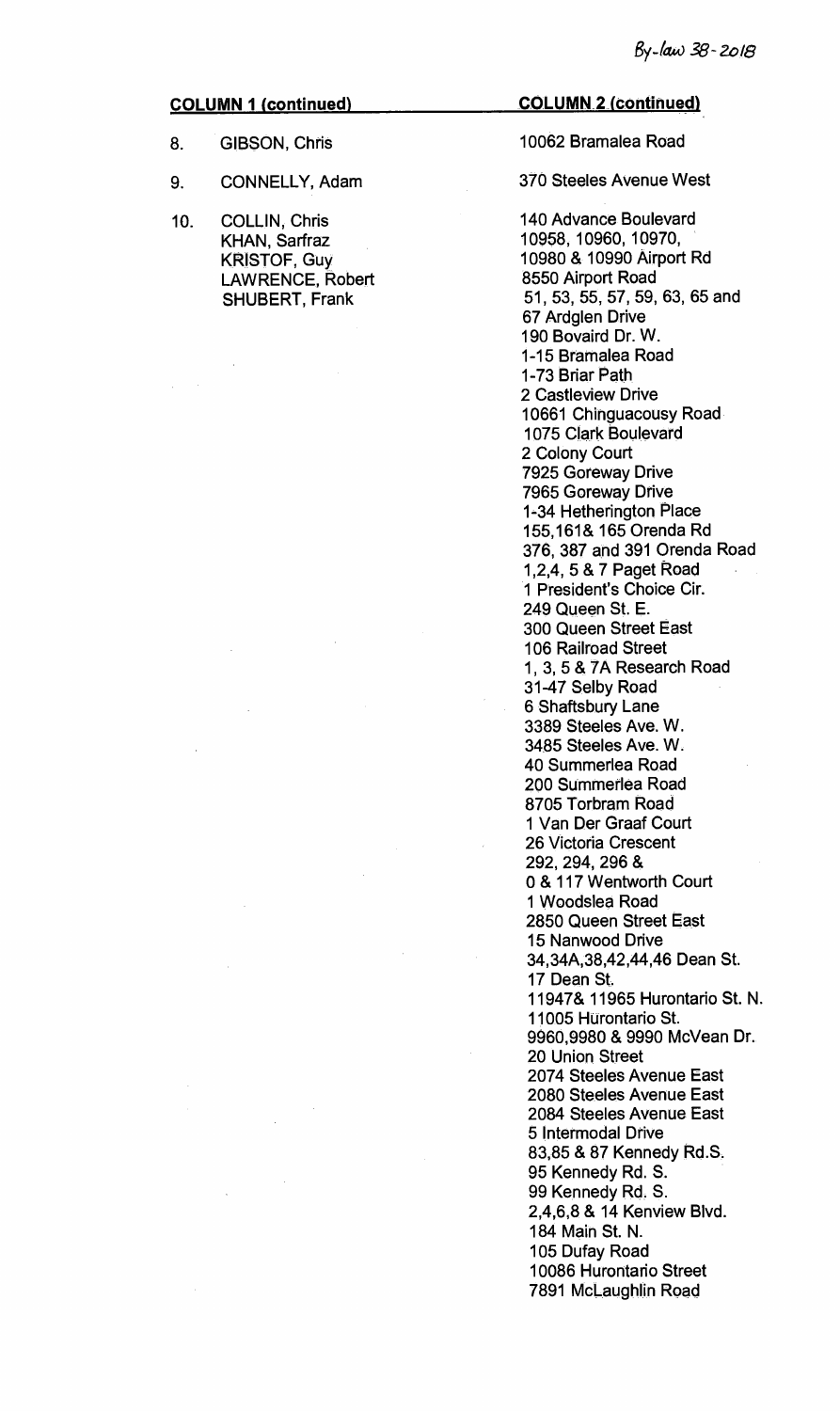- 8. GIBSON, Chris
- 9. CONNELLY, Adam
- 10. COLLIN, Chris KHAN, Sarfraz KRISTOF, Guy LAWRENCE, Robert SHUBERT, Frank

**COLUMN 2 (continued)** 

# 10062 Bramalea Road

370 Steeles Avenue West

140 Advance Boulevard 10958, 10960, 10970, 10980 & 10990 Airport Rd 8550 Airport Road 51, 53, 55, 57, 59, 63, 65 and 67 Ardglen Drive 190 Bovaird Dr. W. 1-15 Bramalea Road 1-73 Briar Path 2 Castleview Drive 10661 Chinguacousy Road 1075 Clark Boulevard 2 Colony Court 7925 Goreway Drive 7965 Goreway Drive 1-34 Hetherington Place 155,161& 165 Orenda Rd 376, 387 and 391 Orenda Road 1,2,4, 5 & 7 Paget Road 1 President's Choice Cir. 249 Queen St. **E.**  300 Queen Street East 106 Railroad Street 1, 3, 5 & 7A Research Road 31-47 Selby Road 6 Shaftsbury Lane 3389 Steeles Ave. W. 3485 Steeles Ave. W. 40 Summerlea Road 200 Summerlea Road 8705 Torbram Road 1 Van Der Graaf Court 26 Victoria Crescent 292, 294, 296 & 0 & 117 Wentworth Court 1 VVoodslea Road 2850 Queen Street East 15 Nanwood Drive 34,34A,38,42,44,46 Dean St. 17 Dean St. 11947& 11965 Hurontario St. N. 11005 Hurontario St. 9960,9980 & 9990 McVean Dr. 20 Union Street 2074 Steeles Avenue East 2080 Steeles Avenue East 2084 Steeles Avenue East 5 Intermodal Drive 83,85 & 87 Kennedy Rd.S. 95 Kennedy Rd. S. 99 Kennedy Rd. S. 2,4,6,8 & 14 Kenview Blvd. 184 Main St. N. 105 Dufay Road 10086 Hurontario Street 7891 McLaughlin Road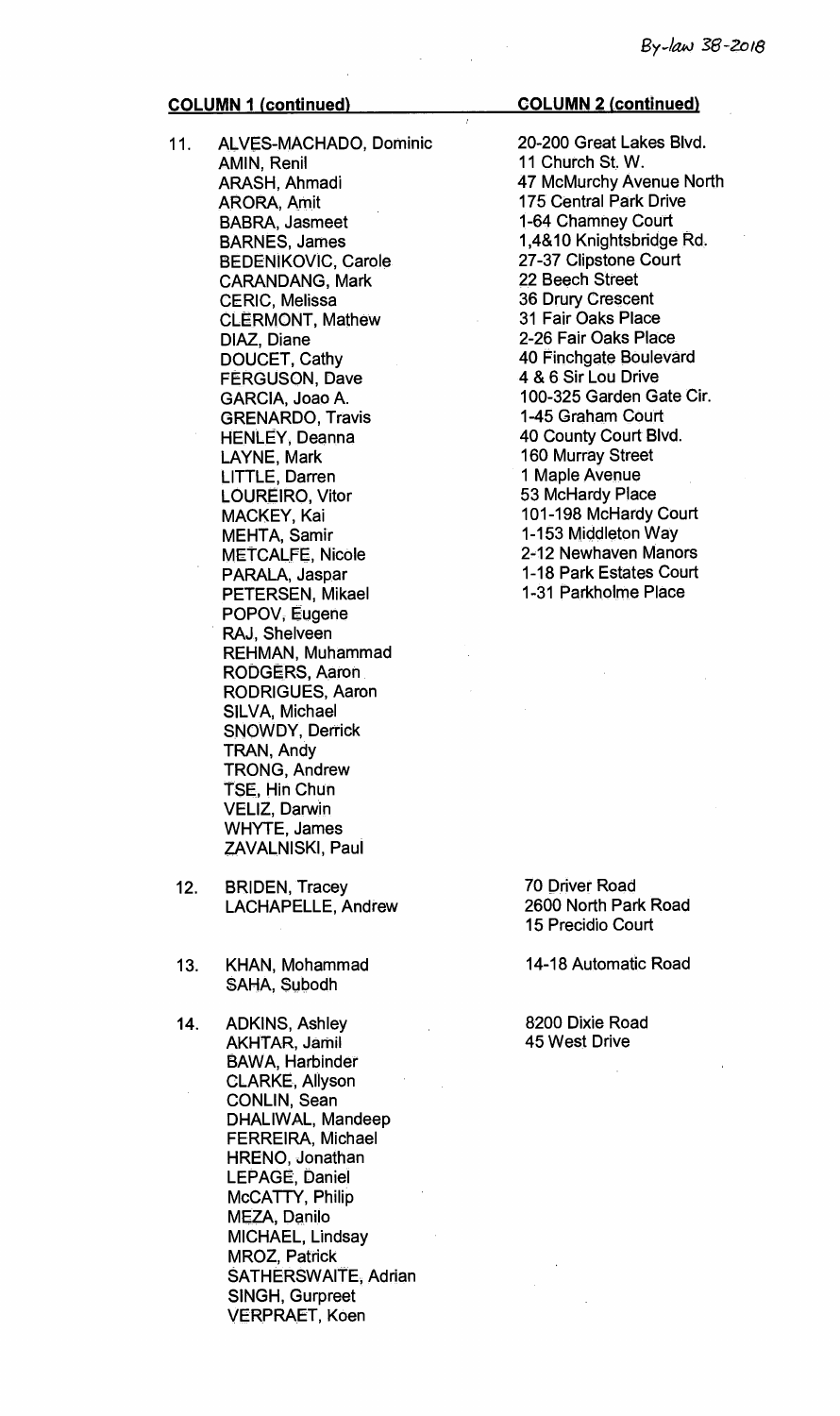- 11. ALVES-MACHADO, Dominic AMIN, Renil ARASH, Ahmadi ARORA, Amit BABRA, Jasmeet BARNES, James BEDENIKOVIC, Carole CARANDANG, Mark CERIC, Melissa CLERMONT, Mathew DIAZ, Diane DOUCET, Cathy FERGUSON, Dave GARCIA, Joao A. GRENARDO, Travis HENLEY, Deanna LAYNE, Mark LITTLE, Darren LOUREIRO, Vitor MACKEY, Kai MEHTA, Samir METCALFE, Nicole PARALA, Jaspar PETERSEN, Mikael POPOV, Eugene RAJ, Shelveen REHMAN, Muhammad RODGERS, Aaron RODRIGUES, Aaron SILVA, Michael SNOWDY, Derrick TRAN, Andy TRONG, Andrew TSE, Hin Chun VELIZ, Darwin WHYTE, James ZAVALNISKI, Paul
- 12. BRIDEN, Tracey LACHAPELLE, Andrew
- 13. KHAN, Mohammad SAHA, Subodh
- 14. ADKINS, Ashley AKHTAR, Jamil BAWA, Harbinder CLARKE, Allyson CONLIN, Sean DHALIWAL, Mandeep FERREIRA, Michael HRENO, Jonathan LEPAGE, Daniel McCATTY, Philip MEZA, Danilo MICHAEL, Lindsay MROZ, Patrick SATHERSWAITE, Adrian SINGH, Gurpreet VERPRAET, Koen

### **COLUMN 1 (continued) COLUMN 2 (continued)**

20-200 Great Lakes Blvd. 11 Church St. W. 47 McMurchy Avenue North 175 Central Park Drive 1-64 Chamney Court 1,4&10 Knightsbridge Rd. 27-37 Clipstone Court 22 Beech Street 36 Drury Crescent 31 Fair Oaks Place 2-26 Fair Oaks Place 40 Finchgate Boulevard 4 & 6 Sir Lou Drive 100-325 Garden Gate Cir. 1-45 Graham Court 40 County Court Blvd. 160 Murray Street 1 Maple Avenue 53 McHardy Place 101-198 McHardy Court 1-153 Middleton Way 2-12 Newhaven Manors 1-18 Park Estates Court 1-31 Parkholrne Place

70 Driver Road 2600 North Park Road 15 Precidio Court

14-18 Automatic Road

8200 Dixie Road 45 West Drive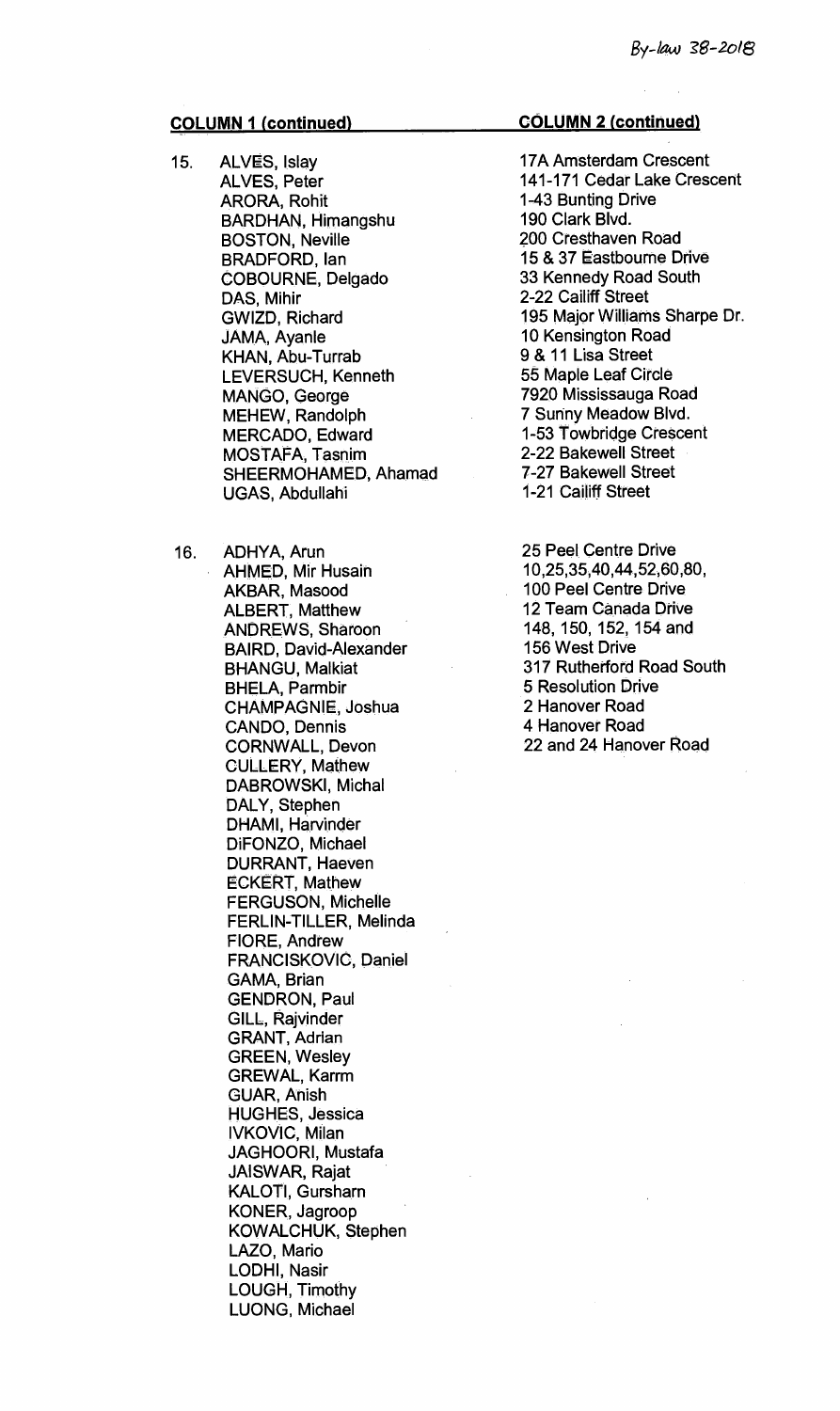- 15. ALVES, Islay ALVES, Peter ARORA, Rohit BARDHAN, Himangshu BOSTON, Neville BRADFORD, Ian COBOURNE, Delgado DAS, Mihir GWIZD, Richard JAMA, Ayanle KHAN, Abu-Turrab LEVERSUCH, Kenneth MANGO, George MEHEW, Randolph MERCADO, Edward MOSTAFA, Tasnim SHEERMOHAMED, Ahamad UGAS, Abdullahi
- 16. ADHYA, Arun AHMED, Mir Husain AKBAR, Masood ALBERT, Matthew ANDREWS, Sharoon BAIRD, David-Alexander BHANGU, Malkiat BHELA, Parmbir CHAMPAGNIE, Joshua CANDO, Dennis CORNWALL, Devon CULLERY, Mathew DABROWSKI, Michal DALY, Stephen DHAMI, Harvinder DiFONZO, Michael DURRANT, Haeven ECKERT, Mathew FERGUSON, Michelle FERLIN-TILLER, Melinda FIORE, Andrew FRANCISKOVIC, Daniel GAMA, Brian GENDRON, Paul GILL, Rajvinder GRANT, Adrian GREEN, Wesley GREWAL, Karrm GUAR, Anish HUGHES, Jessica IVKOVIC, Milan JAGHOORI, Mustafa JAISWAR, Rajat KALOTI, Gursharn KONER, Jagroop KOWALCHUK, Stephen LAZO, Mario LODHI, Nasir LOUGH, Timothy LUONG, Michael

# **COLUMN 2 (continued)**

- 17A Amsterdam Crescent 141-171 Cedar Lake Crescent 1-43 Bunting Drive 190 Clark Blvd. 200 Cresthaven Road 15 & 37 Eastbourne Drive 33 Kennedy Road South 2-22 Cailiff Street 195 Major Williams Sharpe Dr. 10 Kensington Road 9 & 11 Lisa Street 55 Maple Leaf Circle 7920 Mississauga Road 7 Sunny Meadow Blvd. 1-53 Towbridge Crescent 2-22 Bakewell Street 7-27 Bakewell Street 1-21 Cailiff Street
- 25 Peel Centre Drive 10,25,35,40,44,52,60,80, 100 Peel Centre Drive 12 Team Canada Drive 148, 150, 152, 154 and 156 West Drive 317 Rutherford Road South 5 Resolution Drive 2 Hanover Road 4 Hanover Road 22 and 24 Hanover Road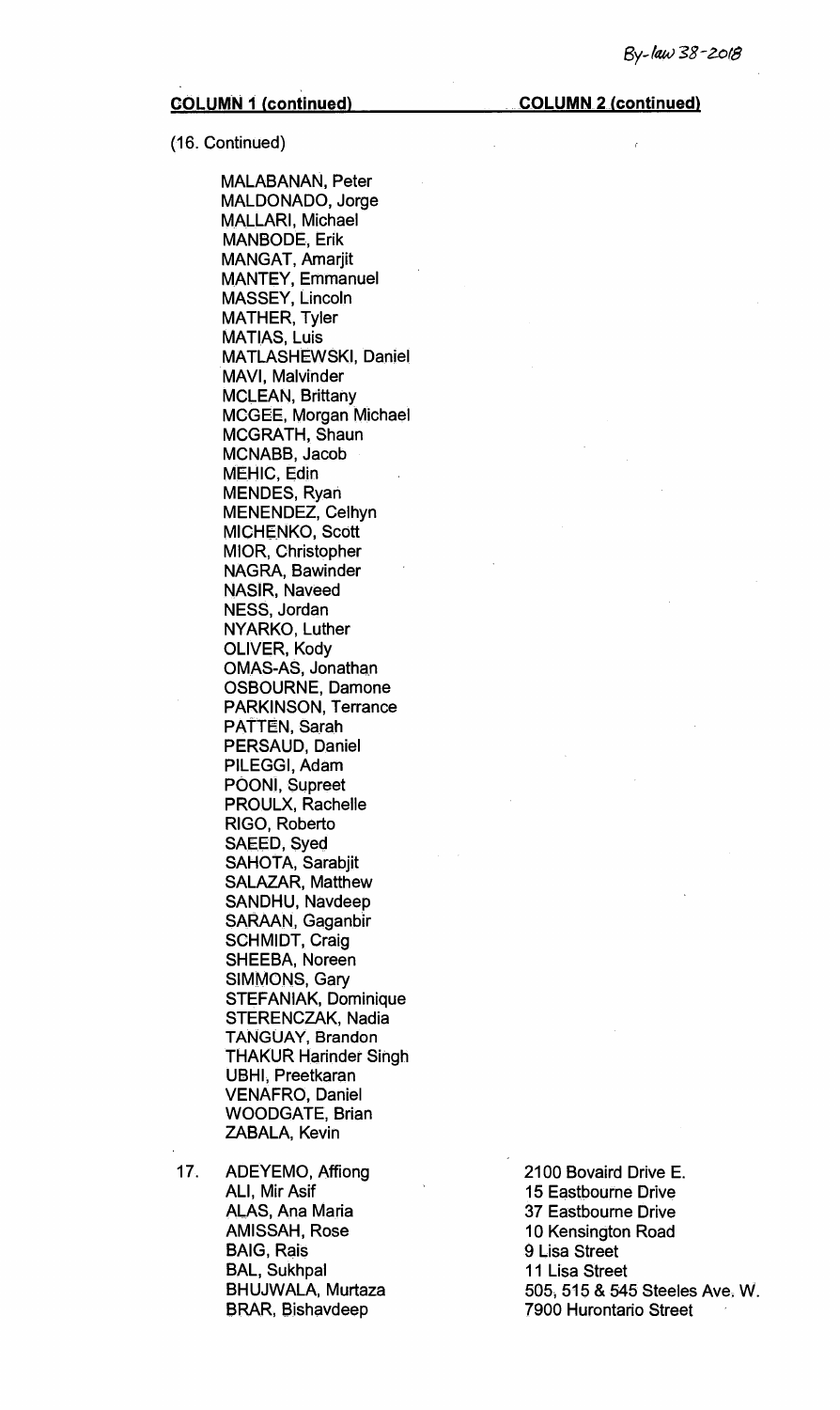(16. Continued)

MALABANAN, Peter MALDONADO, Jorge MALLARI, Michael MANBODE, Erik MANGAT, Amarjit MANTEY, Emmanuel MASSEY, Lincoln MATHER, Tyler MATIAS, Luis MATLASHEWSKI, Daniel MAVI, Malvinder MCLEAN, Brittany MCGEE, Morgan Michael MCGRATH, Shaun MCNABB, Jacob MEHIC, Edin MENDES, Ryan MENENDEZ, Celhyn MICHENKO, Scott MIOR, Christopher NAGRA, Bawinder NASIR, Naveed NESS, Jordan NYARKO, Luther OLIVER, Kody OMAS-AS, Jonathan OSBOURNE, Damone PARKINSON, Terrance PATTEN, Sarah PERSAUD, Daniel PILEGGI, Adam POONI, Supreet PROULX, Rachelle RIGO, Roberto SAEED, Syed SAHOTA, Sarabjit SALAZAR, Matthew SANDHU, Navdeep SARAAN, Gaganbir SCHMIDT, Craig SHEEBA, Noreen SIMMONS, Gary STEFANIAK, Dominique STERENCZAK, Nadia TANGUAY, Brandon THAKUR Harinder Singh UBHI, Preetkaran VENAFRO, Daniel WOODGATE, Brian ZABALA, Kevin

17. ADEYEMO, Affiong 2100 Bovaird Drive E. ALI, Mir Asif 15 Eastbourne Drive ALAS, Ana Maria 37 Eastbourne Drive BAIG, Rais 19 November 2016 19 November 2016 19 November 2016 19 November 2016 19 November 2016 19 November 20 BAL, Sukhpal 11 Lisa Street

10 Kensington Road BHUJWALA, Murtaza 605, 515 & 545 Steeles Ave. W.<br>BRAR, Bishavdeep 7900 Hurontario Street **7900 Hurontario Street**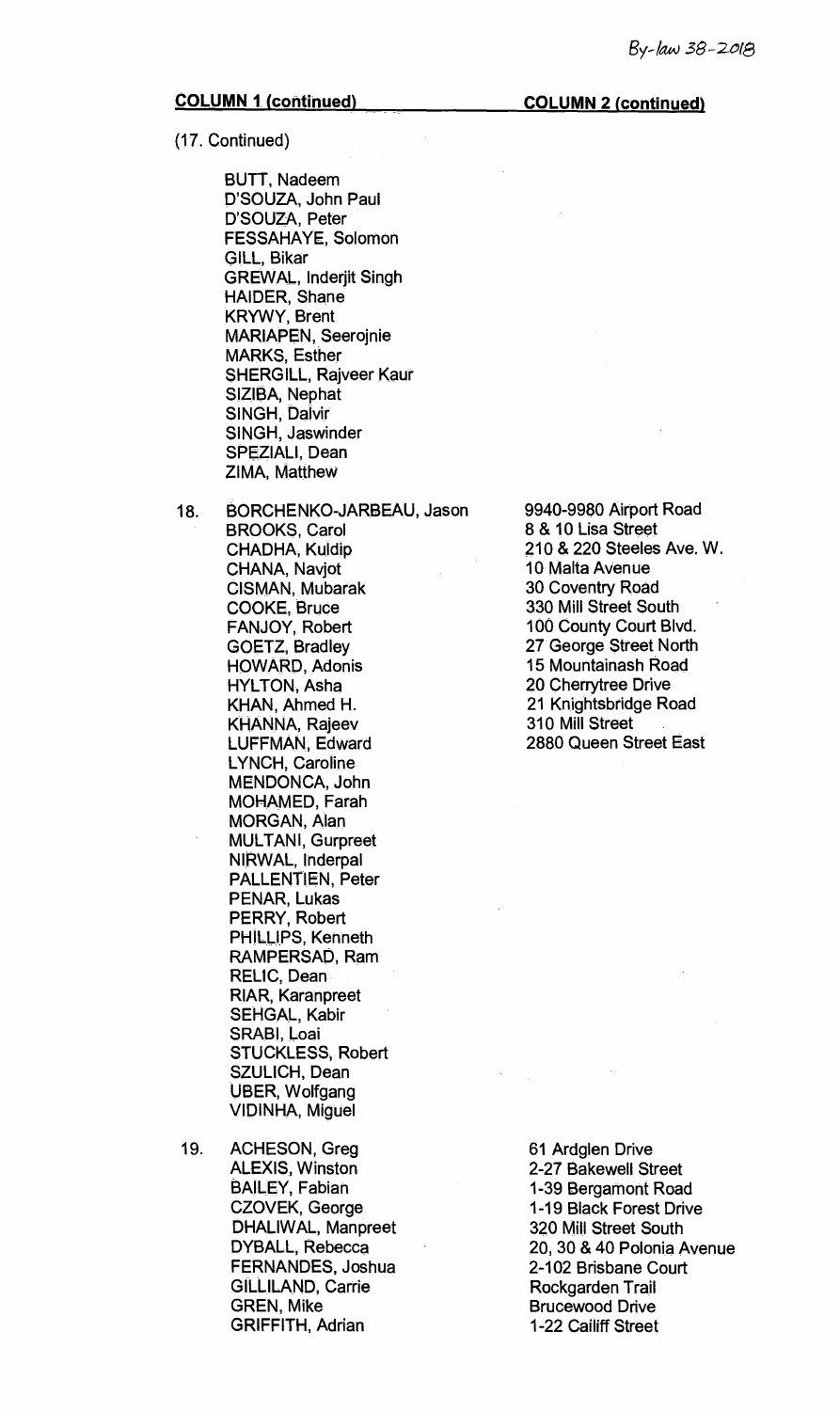#### **COLUMN 1. (continued) COLUMN 2 (continued)**

**(17. Continued)** 

**BUTT, Nadeem D'SOUZA, John Paul D'SOUZA, Peter FESSAHAYE, Solomon GILL, Bikar GREWAL, Inderjit Singh HAIDER, Shane KRYWY, Brent**. **MARIAPEN, Seerojnie MARKS, Esther SHERGILL, Rajveer Kaur SIZIBA, Nephat SINGH, Dalvir SINGH, Jaswinder SPEZIALI, Dean ZIMA, Matthew** 

**18. BORCHENKO-JARBEAU, Jason BROOKS, Carol CHADHA, Kuldip CHANA, Navjot CISMAN, Mubarak COOKE, Bruce FANJOY, Robert GOETZ, Bradley HOWARD, Adonis HYLTON, Asha KHAN, Ahmed H. KHANNA, Rajeev LUFFMAN, Edward LYNCH, Caroline MENDONCA, John MOHAMED, Farah MORGAN, Alan MULTANI, Gurpreet NIRWAL, Inderpal PALLENTIEN, Peter PENAR, Lukas PERRY, Robert PHILLIPS, Kenneth RAMPERSAD, Ram RELIC, Dean RIAR, Karanpreet SEHGAL, Kabir**  SRABI, Loai **STUCKLESS, Robert SZULICH, Dean UBER, Wolfgang VIDINHA, Miguel** 

**19. ACHESON, Greg ALEXIS, Winston BAILEY, Fabian CZOVEK, George DHALIWAL, Manpreet DYBALL, Rebecca FERNANDES, Joshua GILLILAND, Carrie GREN, Mike GRIFFITH, Adrian** 

**9940-9980 Airport Road 8 & 10 Lisa Street 210 & 220 Steeles Ave. W. 10 Malta Avenue 30 Coventry Road 330 Mill Street South 100 County Court Blvd. 27 George Street North 15 Mountainash Road 20 Cherrytree Drive 21 Knightsbridge Road 310 Mill Street 2880 Queen Street East** 

**61 Ardglen Drive 2-27 Bakewell Street 1-39 Bergamont Road 1-19 Black Forest Drive 320 Mill Street South 20, 30 & 40 Polonia Avenue 2-102 Brisbane Court Rockgarden Trail Brucewood Drive 1-22 Cailiff Street**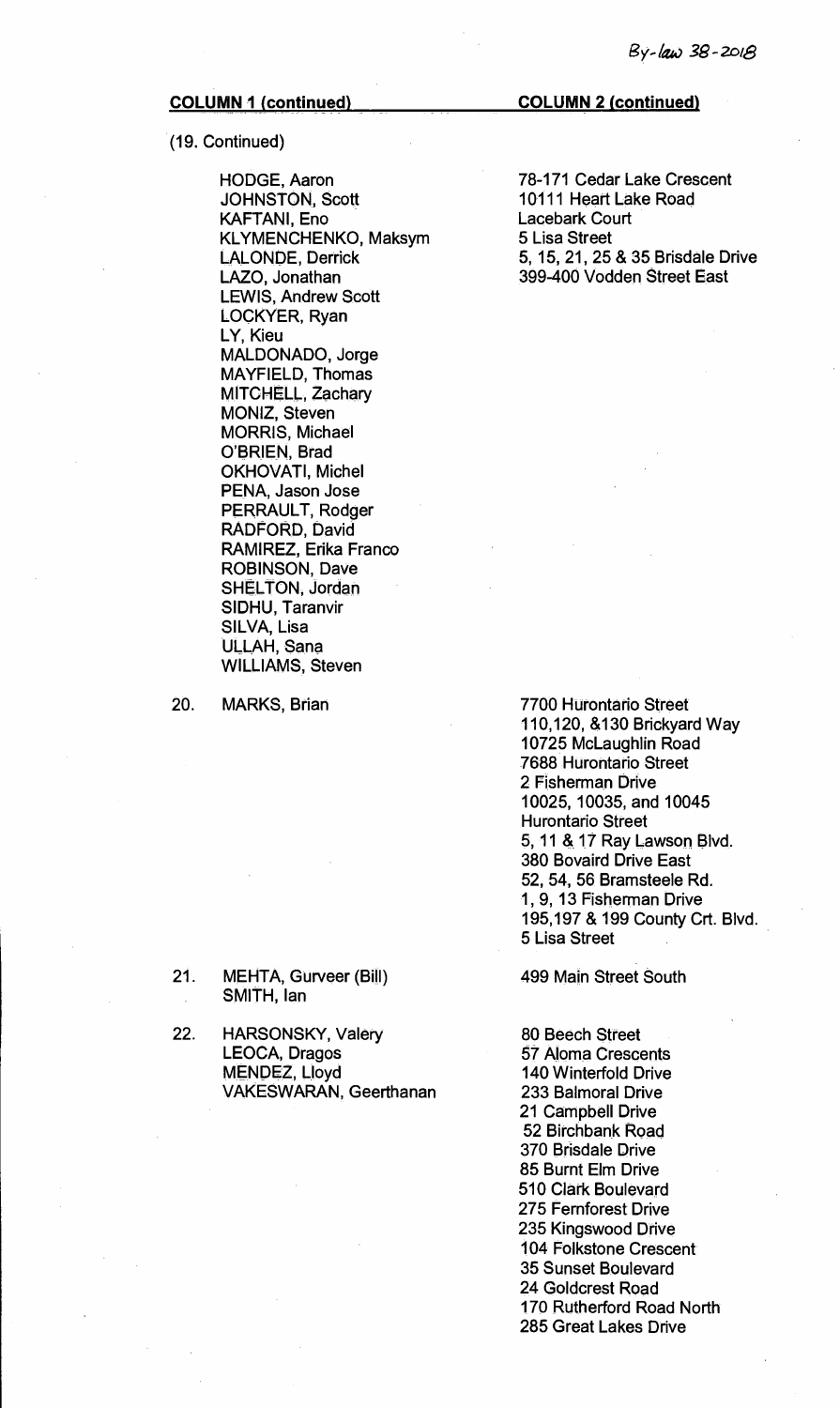# (19. Continued)

HODGE, Aaron JOHNSTON, Scott KAFTANI, Eno KLYMENCHENKO, Maksym LALONDE, Derrick LAZO, Jonathan LEWIS, Andrew Scott LOCKYER, Ryan LY, Kieu MALDONADO, Jorge MAYFIELD, Thomas MITCHELL, Zachary MONIZ, Steven MORRIS, Michael O'BRIEN, Brad OKHOVATI, Michel PENA, Jason Jose PERRAULT, Rodger RADFORD, David RAMIREZ, Erika Franco ROBINSON, Dave SHELTON, Jordan SIDHU, Taranvir SILVA, Lisa ULLAH, Sana WILLIAMS, Steven

20. MARKS, Brian

#### 21. MEHTA, Gurveer (Bill) SMITH, Ian

22. HARSONSKY, Valery LEOCA, Dragos MENDEZ, Lloyd VAKESWARAN, Geerthanan

**COLUMN 1 (continued) COLUMN 2 (continued)** 

78-171 Cedar Lake Crescent 10111 Heart Lake Road Lacebark Court 5 Lisa Street 5, 15, 21, 25 & 35 Brisdale Drive 399-400 Vodden Street East

7700 Hurontario Street 110,120, &130 Brickyard Way 10725 McLaughlin Road 7688 Hurontario Street 2 Fisherman Drive 10025, 10035, and 10045 Hurontario Street 5, 11 &.17 Ray Lawson Blvd. 380 Bovaird Drive East 52, 54, 56 Bramsteele Rd. 1, 9, 13 Fisherman Drive 195,197 & 199 County Crt. Blvd. 5 Lisa Street

499 Main Street South

80 Beech Street 57 Aloma Crescents 140 Winterfold Drive 233 Balmoral Drive 21 Campbell Drive 52 Birchbank Road 370 Brisdale Drive 85 Burnt Elm Drive 510 Clark Boulevard 275 Fernforest Drive 235 Kingswood Drive 104 Folkstone Crescent 35 Sunset Boulevard 24 Goldcrest Road 170 Rutherford Road North 285 Great Lakes Drive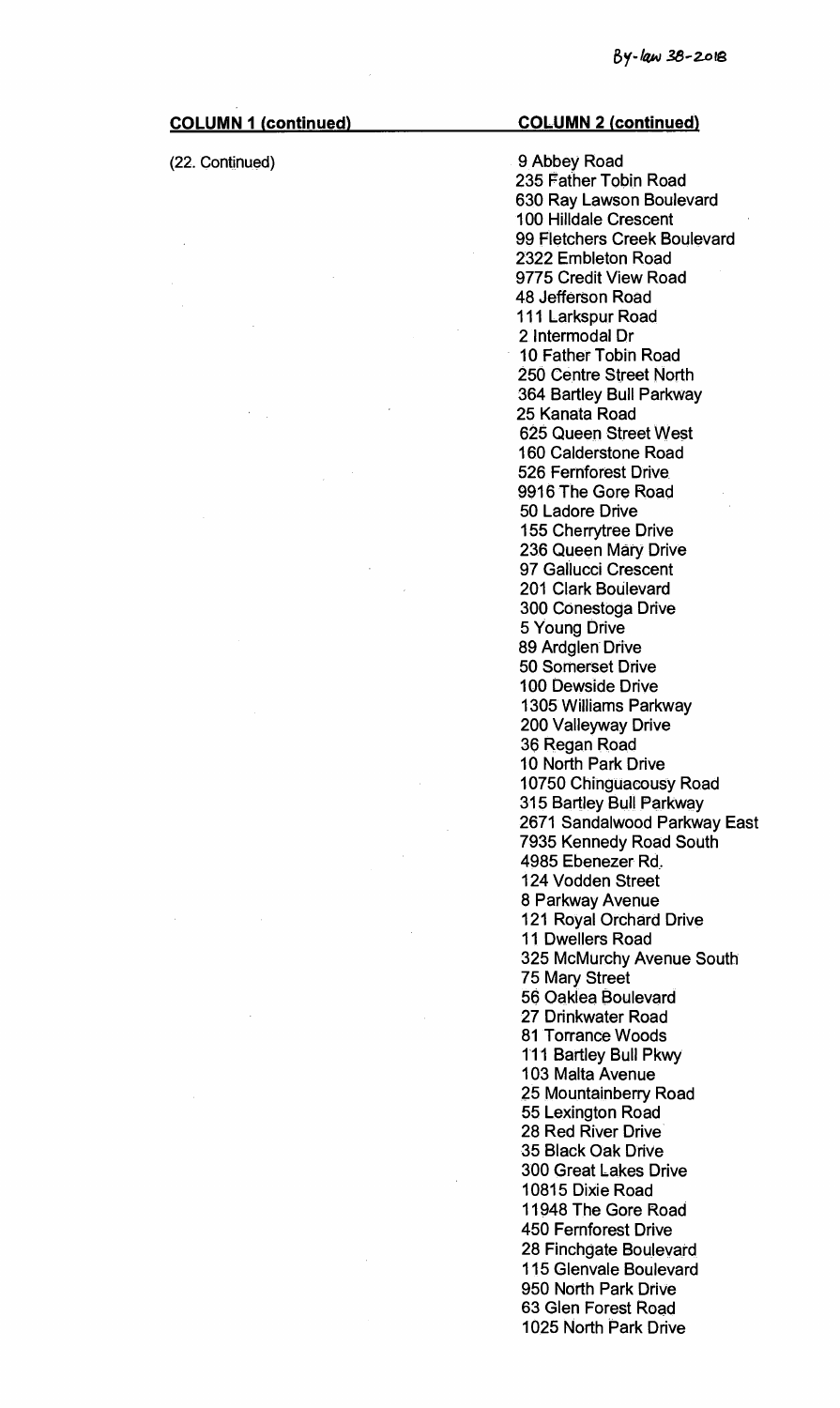| <b>COLUMN 1 (continued)</b> | <b>COLUMN 2 (continued)</b>  |
|-----------------------------|------------------------------|
| (22. Continued)             | 9 Abbey Road                 |
|                             | 235 Father Tobin Road        |
|                             | 630 Ray Lawson Boulevard     |
|                             | <b>100 Hilldale Crescent</b> |
|                             | 99 Fletchers Creek Boulevard |
|                             | 2322 Embleton Road           |
|                             | 9775 Credit View Road        |
|                             | 48 Jefferson Road            |
|                             |                              |
|                             | 111 Larkspur Road            |
|                             | 2 Intermodal Dr              |
|                             | 10 Father Tobin Road         |
|                             | 250 Centre Street North      |
|                             | 364 Bartley Bull Parkway     |
|                             | 25 Kanata Road               |
|                             | 625 Queen Street West        |
|                             | 160 Calderstone Road         |
|                             | 526 Fernforest Drive         |
|                             | 9916 The Gore Road           |
|                             | 50 Ladore Drive              |
|                             | 155 Cherrytree Drive         |
|                             | 236 Queen Mary Drive         |
|                             | 97 Gallucci Crescent         |
|                             | 201 Clark Boulevard          |
|                             |                              |
|                             | 300 Conestoga Drive          |
|                             | 5 Young Drive                |
|                             | 89 Ardglen Drive             |
|                             | 50 Somerset Drive            |
|                             | 100 Dewside Drive            |
|                             | 1305 Williams Parkway        |
|                             | 200 Valleyway Drive          |
|                             | 36 Regan Road                |
|                             | <b>10 North Park Drive</b>   |
|                             | 10750 Chinguacousy Road      |
|                             | 315 Bartley Bull Parkway     |
|                             | 2671 Sandalwood Parkway East |
|                             | 7935 Kennedy Road South      |
|                             | 4985 Ebenezer Rd.            |
|                             | 124 Vodden Street            |
|                             | 8 Parkway Avenue             |
|                             | 121 Royal Orchard Drive      |
|                             | <b>11 Dwellers Road</b>      |
|                             | 325 McMurchy Avenue South    |
|                             |                              |
|                             | 75 Mary Street               |
|                             | 56 Oaklea Boulevard          |
|                             | 27 Drinkwater Road           |
|                             | 81 Torrance Woods            |
|                             | 111 Bartley Bull Pkwy        |
|                             | 103 Malta Avenue             |
|                             | 25 Mountainberry Road        |
|                             | 55 Lexington Road            |
|                             | 28 Red River Drive           |
|                             | 35 Black Oak Drive           |
|                             | <b>300 Great Lakes Drive</b> |
|                             | 10815 Dixie Road             |
|                             | 11948 The Gore Road          |
|                             | <b>450 Fernforest Drive</b>  |
|                             | 28 Finchgate Boulevard       |
|                             | 115 Glenvale Boulevard       |
|                             | 950 North Park Drive         |
|                             |                              |
|                             | 63 Glen Forest Road          |
|                             | 1025 North Park Drive        |

 $\sim$   $\mu$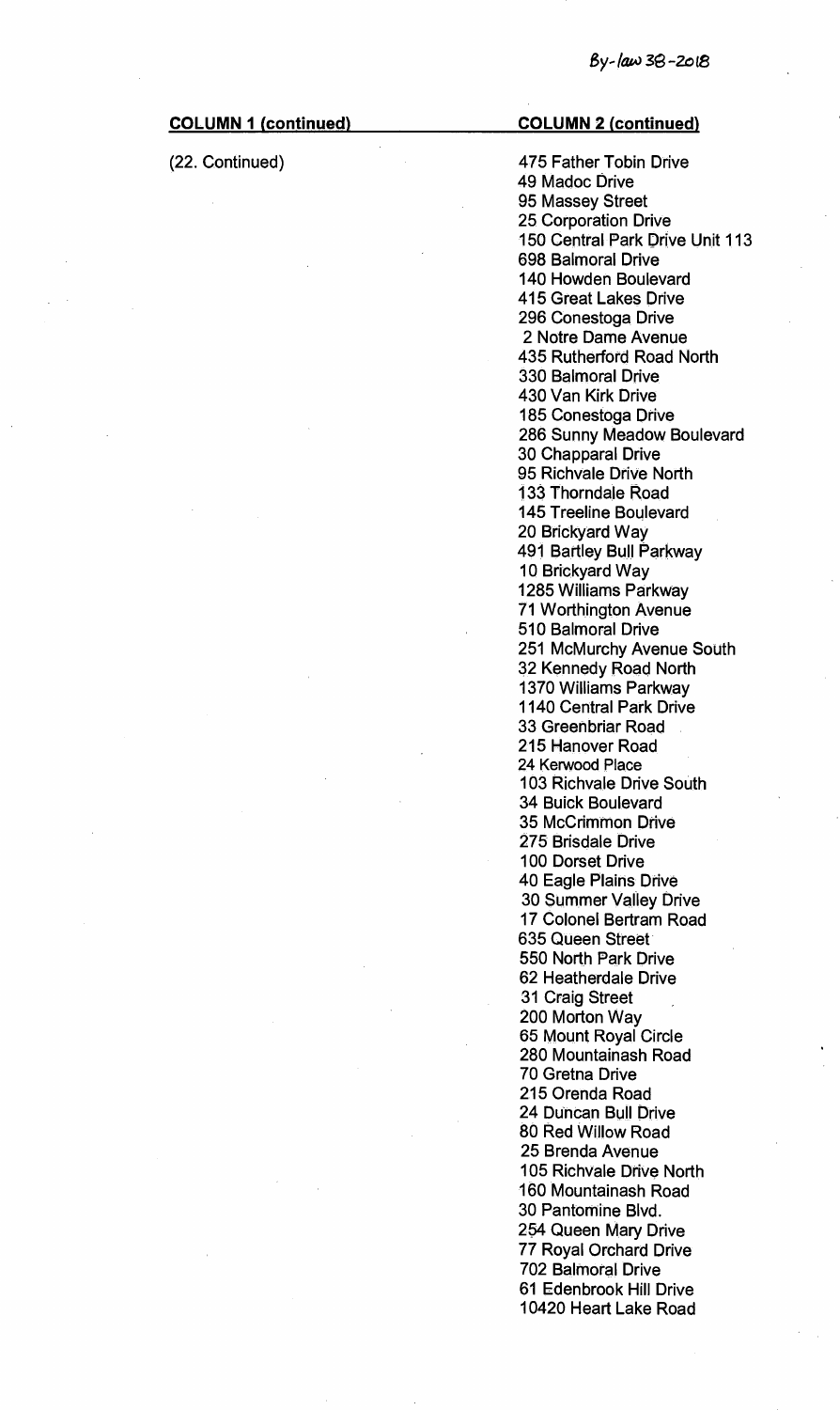# **COLUMN 1 (continued) COLUMN 2 (continued)**

(22. Continued) 475 Father Tobin Drive 49 Madoc Drive 95 Massey Street 25 Corporation Drive 150 Central Park Drive Unit 113 698 Balmoral Drive 140 Howden Boulevard 415 Great Lakes Drive 296 Conestoga Drive 2 Notre Dame Avenue 435 Rutherford Road North 330 Balmoral Drive 430 Van Kirk Drive 185 Conestoga Drive 286 Sunny Meadow Boulevard 30 Chapparal Drive 95 Richvale Drive North 133 Thorndale Road 145 Treeline Boulevard 20 Brickyard Way 491 Bartley Bull Parkway 10 Brickyard Way 1285 Williams Parkway 71 Worthington Avenue 510 Balmoral Drive 251 McMurchy Avenue South 32 Kennedy Road North 1370 Williams Parkway 1140 Central Park Drive 33 Greenbriar Road 215 Hanover Road 24 Kerwood Place 103 Richvale Drive South 34 Buick Boulevard 35 McCrimmon Drive 275 Brisdale Drive 100 Dorset Drive 40 Eagle Plains Drive 30 Summer Valley Drive 17 Colonel Bertram Road 635 Queen Street 550 North Park Drive 62 Heatherdale Drive 31 Craig Street 200 Morton Way 65 Mount Royal Circle 280 Mountainash Road 70 Gretna Drive 215 Orenda Road 24 Duncan Bull Drive 80 Red Willow Road 25 Brenda Avenue 105 Richvale Drive North 160 Mountainash Road 30 Pantomine Blvd. 254 Queen Mary Drive 77 Royal Orchard Drive 702 Balmoral Drive 61 Edenbrook Hill Drive 10420 Heart Lake Road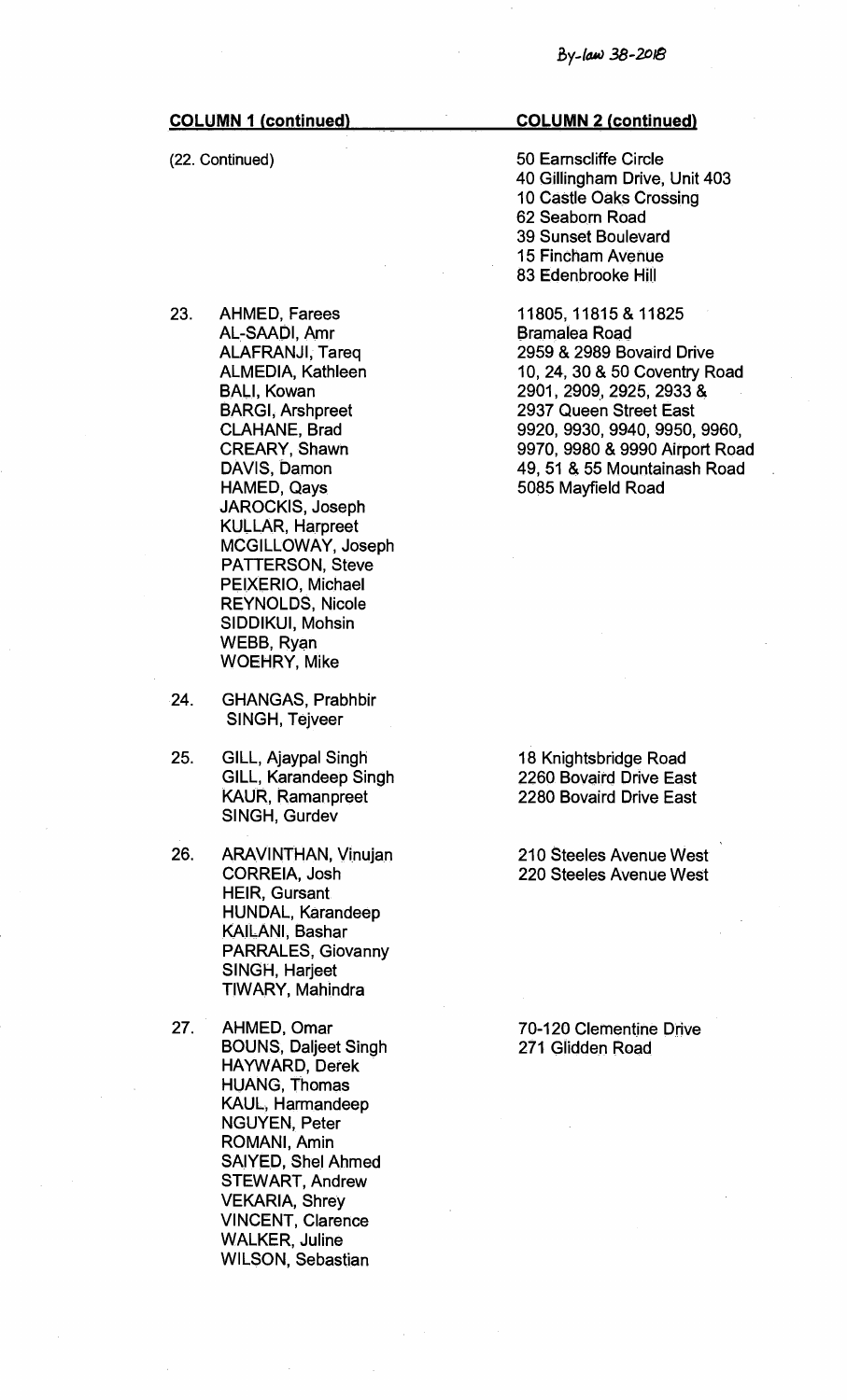(22. Continued)

- 23. AHMED, Farees AL-SAADI, Amr ALAFRANJI, Tareq ALMEDIA, Kathleen BALI, Kowan BARGI, Arshpreet CLAHANE, Brad CREARY, Shawn DAVIS, Damon HAMED, Qays JAROCKIS, Joseph KULLAR, Harpreet MCGILLOWAY, Joseph PATTERSON, Steve PEIXERIO, Michael REYNOLDS, Nicole SIDDIKUI, Mohsin WEBB, Ryan WOEHRY, Mike
- 24. GHANGAS, Prabhbir SINGH, Tejveer
- 25. GILL, Ajaypal Singh GILL, Karandeep Singh KAUR, Ramanpreet SINGH, Gurdev
- 26. ARAVINTHAN, Vinujan CORREIA, Josh HEIR, Gursant. HUNDAL, Karandeep KAILANI, Bashar PARRALES, Giovanny SINGH, Harjeet TIWARY, Mahindra
- 27. AHMED, Omar BOUNS, Daljeet Singh HAYWARD, Derek HUANG, Thomas KAUL, Harmandeep NGUYEN, Peter ROMANI, Amin SAIYED, Shel Ahmed STEWART, Andrew VEKARIA, Shrey VINCENT, Clarence WALKER, Juline WILSON, Sebastian

#### **COLUMN 2 (continued)**

50 Earnscliffe Circle 40 Gillingham Drive, Unit 403 10 Castle Oaks Crossing 62 Seaborn Road 39 Sunset Boulevard 15 Fincham Avenue 83 Edenbrooke Hill

11805, 11815 & 11825 Bramalea Road 2959 & 2989 Bovaird Drive 10, 24, 30 & 50 Coventry Road 2901, 2909, 2925, 2933 & 2937 Queen Street East 9920, 9930, 9940, 9950, 9960, 9970, 9980 & 9990 Airport Road 49, 51 & 55 Mountainash Road 5085 Mayfield Road

18 Knightsbridge Road 2260 Bovaird Drive East 2280 Bovaird Drive East

210 Steeles Avenue West 220 Steeles Avenue West

70-120 Clementine Drive 271 Glidden Road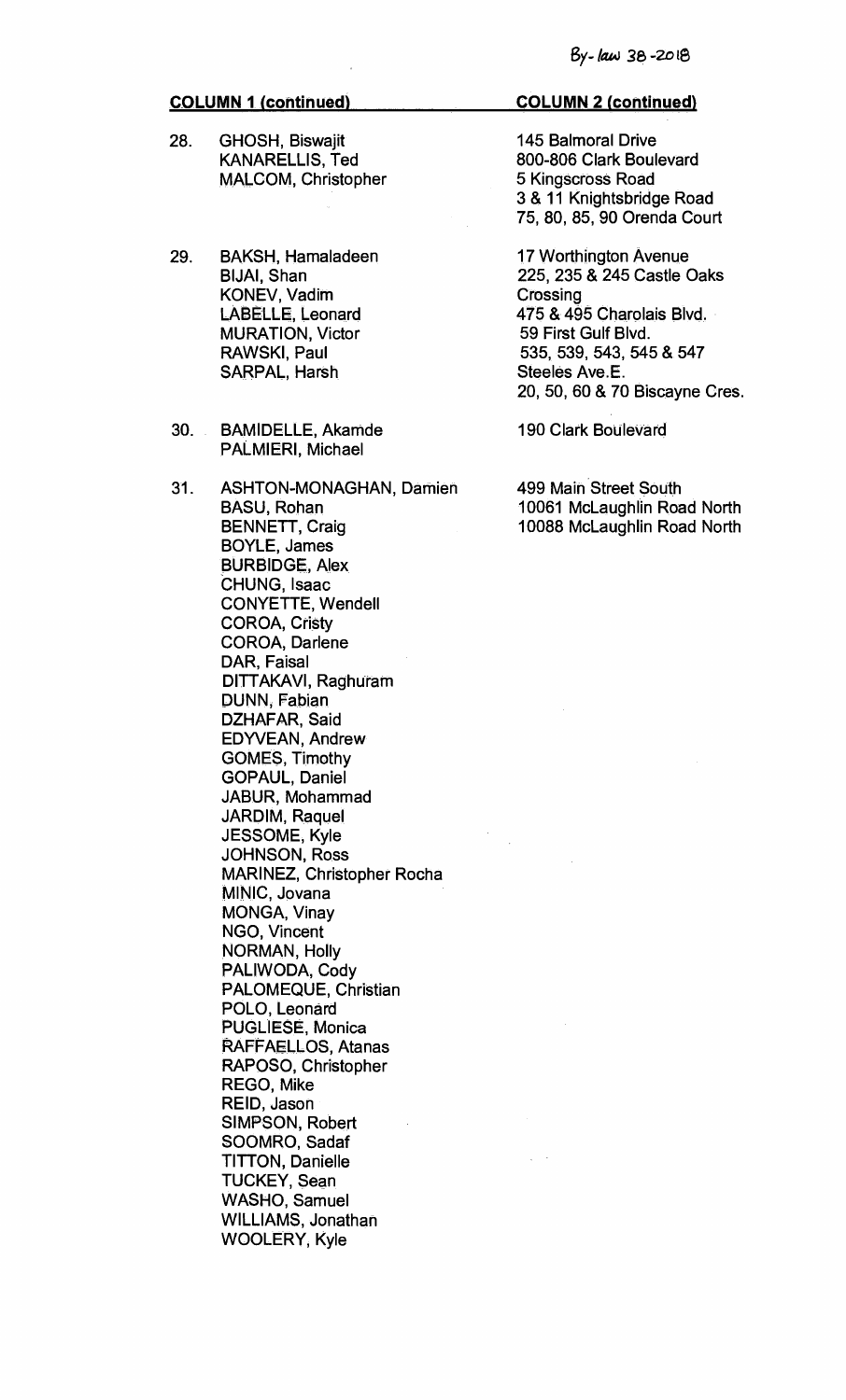- **28. GHOSH, Biswajit KANARELLIS, Ted MALCOM, Christopher**
- **29. BAKSH, Hamaladeen BIJAI, Shan KONEV, Vadim LAI3ELLE, Leonard MURATION, Victor RAWSKI, Paul SARPAL, Harsh**
- **30. BAMIDELLE, Akamde PALMIERI, Michael**
- **31. ASHTON-MONAGHAN, Damien BASU, Rohan BENNETT, Craig BOYLE, James BURBIDGE, Alex CHUNG, Isaac CONYETTE, Wendell COROA, Cristy COROA, Darlene DAR, Faisal DITTAKAVI, Raghuram DUNN, Fabian DZHAFAR, Said EDYVEAN, Andrew GOMES, Timothy GOPAUL, Daniel JABUR, Mohammad JARDIM, Raquel JESSOME, Kyle JOHNSON, Ross MARINEZ, Christopher Rocha MINIC, Jovana MONGA, Vinay NGO, Vincent NORMAN, Holly PALIWODA, Cody PALOMEQUE, Christian POLO, Leonard PUGLIESE, Monica RAFFAELLOS, Atanas RAPOSO, Christopher REGO, Mike REID, Jason SIMPSON, Robert SOOMRO, Sadaf TITTON, Danielle TUCKEY, Sean WASHO, Samuel WILLIAMS, Jonathan WOOLERY, Kyle**

# **COLUMN 2 (continued)**

**145 Balmoral Drive 800-806 Clark Boulevard 5 Kingscross Road 3 & 11 Knightsbridge Road 75, 80, 85, 90 Orenda Court** 

**17 Worthington Avenue 225, 235 & 245 Castle Oaks Crossing 475 & 495 Charolais Blvd. 59 First Gulf Blvd. 535, 539, 543, 545 & 547 Steeles Ave.E. 20, 50, 60 & 70 Biscayne Cres.** 

**190 Clark Boulevard** 

**499 Main Street South 10061 McLaughlin Road North 10088 McLaughlin Road North**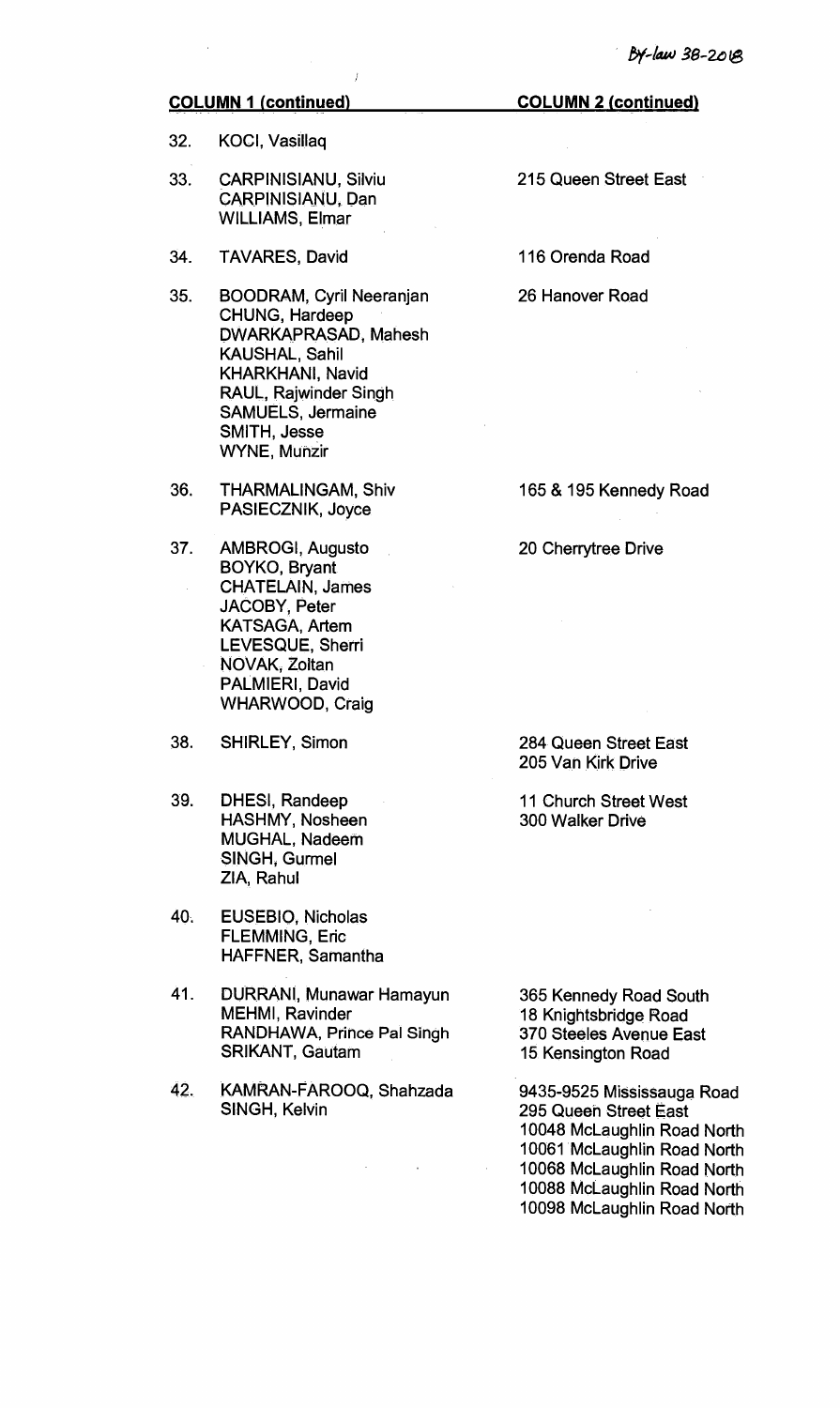**32. KOCI, Vasillaq** 

- **33. CARPINISIANU, Silviu CARPINISIANU, Dan WILLIAMS, Elmar**
- **34. TAVARES, David**
- **35. BOODRAM, Cyril Neeranjan CHUNG, Hardeep DWARKAPRASAD, Mahesh KAUSHAL, Sahil KHARKHANI, Navid RAUL, Rajwinder Singh SAMUELS, Jermaine SMITH, Jesse WYNE, Munzir**
- **36. THARMALINGAM, Shiv PASIECZNIK, Joyce**
- **37. AMBROGI, Augusto BOYKO, Bryant**. **CHATELAIN, James JACOBY, Peter KATSAGA, Artem LEVESQUE, Sherri NOVAK, Zoltan PALMIERI, David WHARWOOD, Craig**
- **38. SHIRLEY, Simon**
- **39. DHESI, Randeep HASHMY, Nosheen MUGHAL, Nadeem SINGH, Gurmel ZIA, Rahul**
- **40. EUSEBIO, Nicholas FLEMMING, Eric HAFFNER, Samantha**
- **41. DURRANI, Munawar Hamayun MEHMI, Ravinder RANDHAWA, Prince Pal Singh SRIKANT, Gautam**
- **42. KAMRAN-FAROOQ, Shahzada SINGH, Kelvin**

**COLUMN 2 (continued)** 

**215 Queen Street East** 

**116 Orenda Road** 

**26 Hanover Road** 

**165 & 195 Kennedy Road** 

**20 Cherrytree Drive** 

**284 Queen Street East 205 Van Kirk Drive** 

**11 Church Street West 300 Walker Drive** 

**365 Kennedy Road South 18 Knightsbridge Road 370 Steeles Avenue East 15 Kensington Road** 

**9435-9525 Mississauga Road 295 Queen Street East 10048 McLaughlin Road North 10061 McLaughlin Road North 10068 McLaughlin Road North 10088 McLaughlin Road North 10098 McLaughlin Road North**